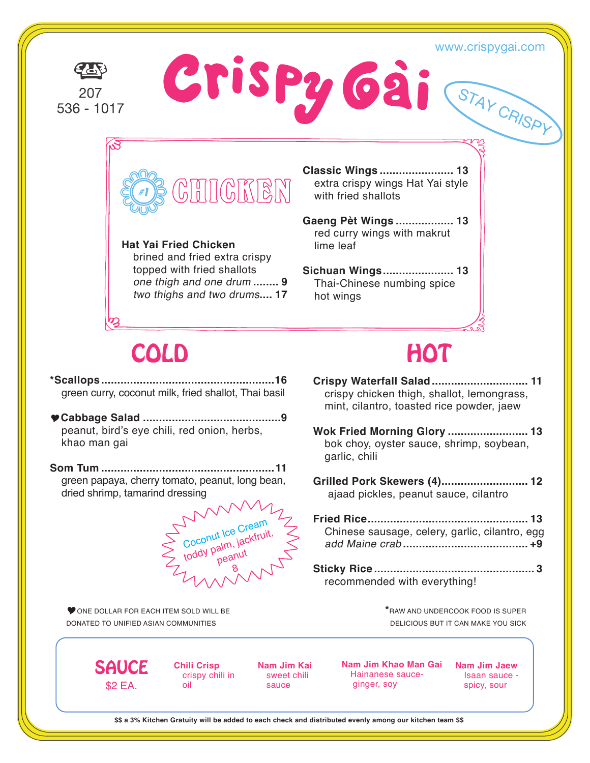#### www.crispygai.com

STAY CRISPY

207  $536 - 1017$  Crispy Gai



**Hat Yai Fried Chicken** brined and fried extra crispy topped with fried shallots one thigh and one drum **........ 9** two thighs and two drums**.... 17** **Classic Wings ....................... 13** extra crispy wings Hat Yai style with fried shallots

**Gaeng Pèt Wings .................. 13** red curry wings with makrut lime leaf

**Sichuan Wings...................... 13** Thai-Chinese numbing spice hot wings

# COLD HOT

**\*Scallops ......................................................16** green curry, coconut milk, fried shallot, Thai basil

- **Cabbage Salad ...........................................9** peanut, bird's eye chili, red onion, herbs, khao man gai
- **Som Tum ......................................................11** green papaya, cherry tomato, peanut, long bean, dried shrimp, tamarind dressing

# Coconut Ice Cream<br>Coconut Ice Cream<br>toddy palm, jackfrui Coconut Ice Dickfruit,<br>toddy palm, jackfruit, 8

ONE DOLLAR FOR EACH ITEM SOLD WILL BE DONATED TO UNIFIED ASIAN COMMUNITIES

- **Crispy Waterfall Salad .............................. 11** crispy chicken thigh, shallot, lemongrass, mint, cilantro, toasted rice powder, jaew
- **Wok Fried Morning Glory ......................... 13** bok choy, oyster sauce, shrimp, soybean, garlic, chili
- **Grilled Pork Skewers (4)........................... 12** ajaad pickles, peanut sauce, cilantro

| Chinese sausage, celery, garlic, cilantro, egg |  |
|------------------------------------------------|--|
|                                                |  |

**Sticky Rice .................................................. 3** recommended with everything!

> **\***RAW AND UNDERCOOK FOOD IS SUPER DELICIOUS BUT IT CAN MAKE YOU SICK

**SAUCE** \$2 EA.

**Chili Crisp** crispy chili in oil

**Nam Jim Kai** sweet chili sauce

**Nam Jim Khao Man Gai** Hainanese sauce ginger, soy

**Nam Jim Jaew** Isaan sauce spicy, sour

**\$\$ a 3% Kitchen Gratuity will be added to each check and distributed evenly among our kitchen team \$\$**